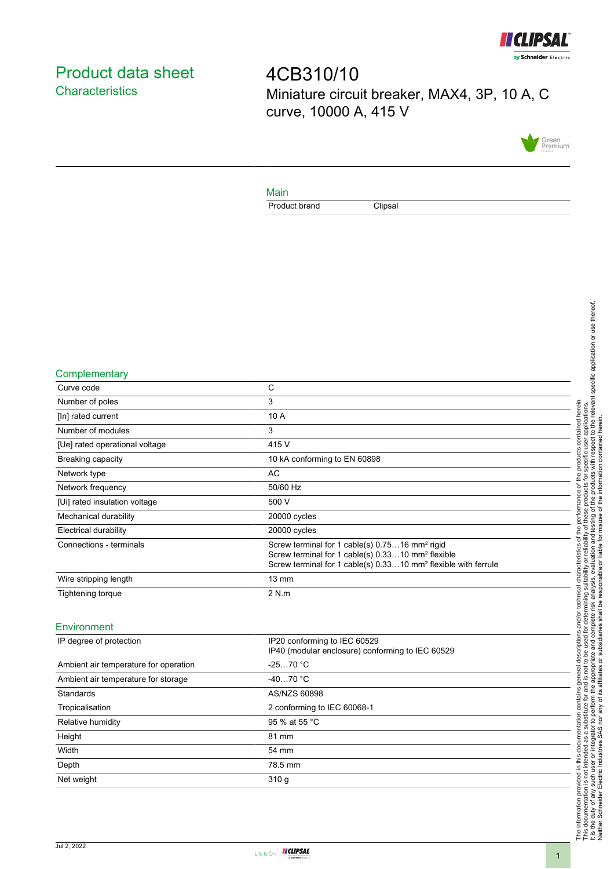

# <span id="page-0-0"></span>Product data sheet **Characteristics**

4CB310/10 Miniature circuit breaker, MAX4, 3P, 10 A, C curve, 10000 A, 415 V



### Main

Product brand Clipsal

#### **Complementary**

| Curve code                     | C                                                                                                                                                                                                         |
|--------------------------------|-----------------------------------------------------------------------------------------------------------------------------------------------------------------------------------------------------------|
| Number of poles                | 3                                                                                                                                                                                                         |
| [In] rated current             | 10 A                                                                                                                                                                                                      |
| Number of modules              | 3                                                                                                                                                                                                         |
| [Ue] rated operational voltage | 415 V                                                                                                                                                                                                     |
| Breaking capacity              | 10 kA conforming to EN 60898                                                                                                                                                                              |
| Network type                   | AC                                                                                                                                                                                                        |
| Network frequency              | 50/60 Hz                                                                                                                                                                                                  |
| [Ui] rated insulation voltage  | 500 V                                                                                                                                                                                                     |
| Mechanical durability          | 20000 cycles                                                                                                                                                                                              |
| <b>Electrical durability</b>   | 20000 cycles                                                                                                                                                                                              |
| Connections - terminals        | Screw terminal for 1 cable(s) 0.7516 mm <sup>2</sup> rigid<br>Screw terminal for 1 cable(s) 0.3310 mm <sup>2</sup> flexible<br>Screw terminal for 1 cable(s) 0.3310 mm <sup>2</sup> flexible with ferrule |
| Wire stripping length          | $13 \text{ mm}$                                                                                                                                                                                           |
| Tightening torque              | 2 N.m                                                                                                                                                                                                     |
|                                |                                                                                                                                                                                                           |

### Environment

| IP degree of protection               | IP20 conforming to IEC 60529<br>IP40 (modular enclosure) conforming to IEC 60529 |
|---------------------------------------|----------------------------------------------------------------------------------|
| Ambient air temperature for operation | $-2570 °C$                                                                       |
| Ambient air temperature for storage   | $-4070 °C$                                                                       |
| Standards                             | AS/NZS 60898                                                                     |
| Tropicalisation                       | 2 conforming to IEC 60068-1                                                      |
| Relative humidity                     | 95 % at 55 °C                                                                    |
| Height                                | 81 mm                                                                            |
| Width                                 | 54 mm                                                                            |
| Depth                                 | 78.5 mm                                                                          |
| Net weight                            | 310q                                                                             |
|                                       |                                                                                  |